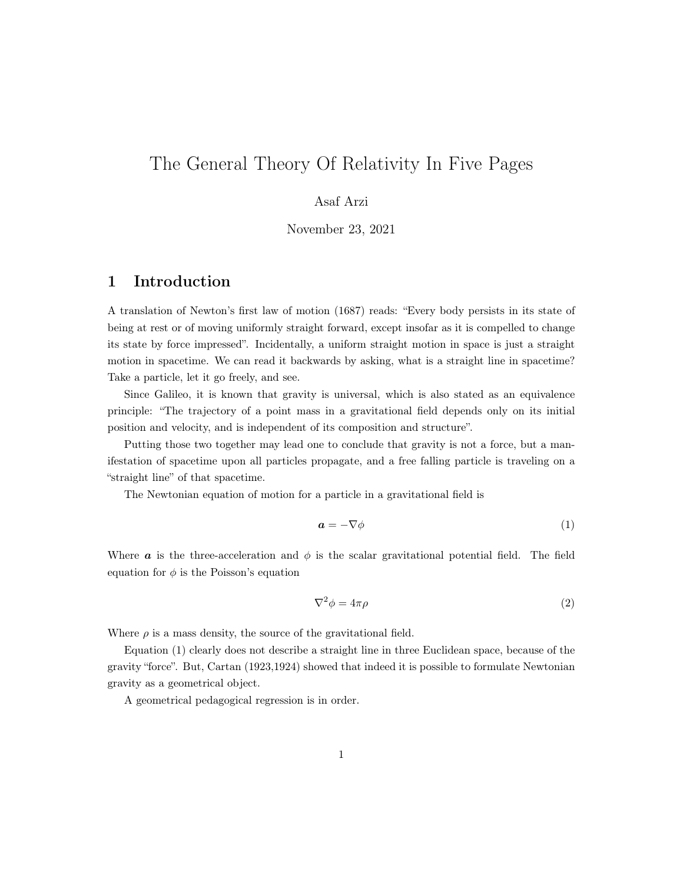# The General Theory Of Relativity In Five Pages

## Asaf Arzi

November 23, 2021

# 1 Introduction

A translation of Newton's first law of motion (1687) reads: "Every body persists in its state of being at rest or of moving uniformly straight forward, except insofar as it is compelled to change its state by force impressed". Incidentally, a uniform straight motion in space is just a straight motion in spacetime. We can read it backwards by asking, what is a straight line in spacetime? Take a particle, let it go freely, and see.

Since Galileo, it is known that gravity is universal, which is also stated as an equivalence principle: "The trajectory of a point mass in a gravitational field depends only on its initial position and velocity, and is independent of its composition and structure".

Putting those two together may lead one to conclude that gravity is not a force, but a manifestation of spacetime upon all particles propagate, and a free falling particle is traveling on a "straight line" of that spacetime.

The Newtonian equation of motion for a particle in a gravitational field is

$$
a = -\nabla \phi \tag{1}
$$

Where **a** is the three-acceleration and  $\phi$  is the scalar gravitational potential field. The field equation for  $\phi$  is the Poisson's equation

$$
\nabla^2 \phi = 4\pi \rho \tag{2}
$$

Where  $\rho$  is a mass density, the source of the gravitational field.

Equation (1) clearly does not describe a straight line in three Euclidean space, because of the gravity "force". But, Cartan (1923,1924) showed that indeed it is possible to formulate Newtonian gravity as a geometrical object.

A geometrical pedagogical regression is in order.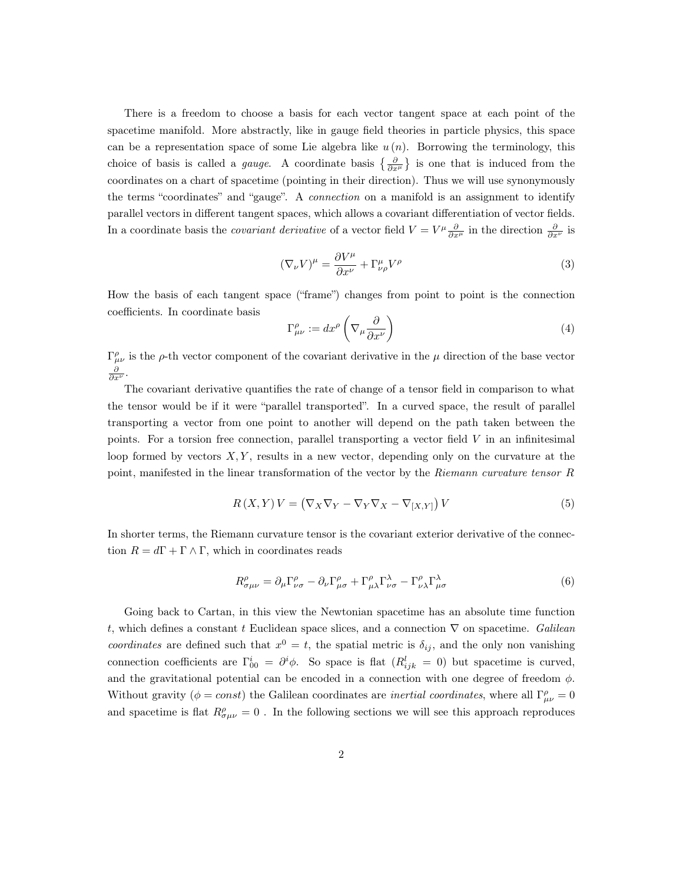There is a freedom to choose a basis for each vector tangent space at each point of the spacetime manifold. More abstractly, like in gauge field theories in particle physics, this space can be a representation space of some Lie algebra like  $u(n)$ . Borrowing the terminology, this choice of basis is called a *gauge*. A coordinate basis  $\left\{\frac{\partial}{\partial x^{\mu}}\right\}$  is one that is induced from the coordinates on a chart of spacetime (pointing in their direction). Thus we will use synonymously the terms "coordinates" and "gauge". A *connection* on a manifold is an assignment to identify parallel vectors in different tangent spaces, which allows a covariant differentiation of vector fields. In a coordinate basis the *covariant derivative* of a vector field  $V = V^{\mu} \frac{\partial}{\partial x^{\mu}}$  in the direction  $\frac{\partial}{\partial x^{\nu}}$  is

$$
(\nabla_{\nu}V)^{\mu} = \frac{\partial V^{\mu}}{\partial x^{\nu}} + \Gamma^{\mu}_{\nu\rho}V^{\rho}
$$
\n(3)

How the basis of each tangent space ("frame") changes from point to point is the connection coefficients. In coordinate basis

$$
\Gamma^{\rho}_{\mu\nu} := dx^{\rho} \left( \nabla_{\mu} \frac{\partial}{\partial x^{\nu}} \right)
$$
\n(4)

 $\Gamma_{\mu\nu}^{\rho}$  is the  $\rho$ -th vector component of the covariant derivative in the  $\mu$  direction of the base vector  $\frac{\partial}{\partial x^{\nu}}.$ 

The covariant derivative quantifies the rate of change of a tensor field in comparison to what the tensor would be if it were "parallel transported". In a curved space, the result of parallel transporting a vector from one point to another will depend on the path taken between the points. For a torsion free connection, parallel transporting a vector field  $V$  in an infinitesimal loop formed by vectors  $X, Y$ , results in a new vector, depending only on the curvature at the point, manifested in the linear transformation of the vector by the Riemann curvature tensor R

$$
R(X,Y)V = (\nabla_X \nabla_Y - \nabla_Y \nabla_X - \nabla_{[X,Y]})V
$$
\n(5)

In shorter terms, the Riemann curvature tensor is the covariant exterior derivative of the connection  $R = d\Gamma + \Gamma \wedge \Gamma$ , which in coordinates reads

$$
R^{\rho}_{\sigma\mu\nu} = \partial_{\mu}\Gamma^{\rho}_{\nu\sigma} - \partial_{\nu}\Gamma^{\rho}_{\mu\sigma} + \Gamma^{\rho}_{\mu\lambda}\Gamma^{\lambda}_{\nu\sigma} - \Gamma^{\rho}_{\nu\lambda}\Gamma^{\lambda}_{\mu\sigma}
$$
(6)

Going back to Cartan, in this view the Newtonian spacetime has an absolute time function t, which defines a constant t Euclidean space slices, and a connection  $\nabla$  on spacetime. Galilean coordinates are defined such that  $x^0 = t$ , the spatial metric is  $\delta_{ij}$ , and the only non vanishing connection coefficients are  $\Gamma^i_{00} = \partial^i \phi$ . So space is flat  $(R^l_{ijk} = 0)$  but spacetime is curved, and the gravitational potential can be encoded in a connection with one degree of freedom  $\phi$ . Without gravity ( $\phi = const$ ) the Galilean coordinates are *inertial coordinates*, where all  $\Gamma^{\rho}_{\mu\nu} = 0$ and spacetime is flat  $R^{\rho}_{\sigma\mu\nu} = 0$ . In the following sections we will see this approach reproduces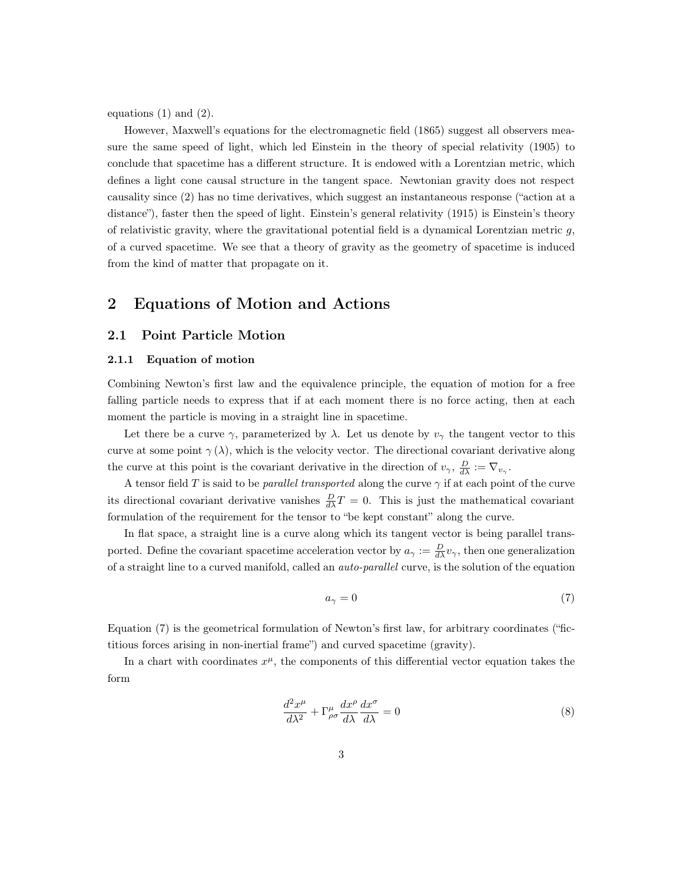equations (1) and (2).

However, Maxwell's equations for the electromagnetic field (1865) suggest all observers measure the same speed of light, which led Einstein in the theory of special relativity (1905) to conclude that spacetime has a different structure. It is endowed with a Lorentzian metric, which defines a light cone causal structure in the tangent space. Newtonian gravity does not respect causality since (2) has no time derivatives, which suggest an instantaneous response ("action at a distance"), faster then the speed of light. Einstein's general relativity (1915) is Einstein's theory of relativistic gravity, where the gravitational potential field is a dynamical Lorentzian metric  $q$ , of a curved spacetime. We see that a theory of gravity as the geometry of spacetime is induced from the kind of matter that propagate on it.

# 2 Equations of Motion and Actions

### 2.1 Point Particle Motion

#### 2.1.1 Equation of motion

Combining Newton's first law and the equivalence principle, the equation of motion for a free falling particle needs to express that if at each moment there is no force acting, then at each moment the particle is moving in a straight line in spacetime.

Let there be a curve  $\gamma$ , parameterized by  $\lambda$ . Let us denote by  $v_{\gamma}$  the tangent vector to this curve at some point  $\gamma(\lambda)$ , which is the velocity vector. The directional covariant derivative along the curve at this point is the covariant derivative in the direction of  $v_{\gamma}$ ,  $\frac{D}{d\lambda} := \nabla_{v_{\gamma}}$ .

A tensor field T is said to be *parallel transported* along the curve  $\gamma$  if at each point of the curve its directional covariant derivative vanishes  $\frac{D}{d\lambda}T = 0$ . This is just the mathematical covariant formulation of the requirement for the tensor to "be kept constant" along the curve.

In flat space, a straight line is a curve along which its tangent vector is being parallel transported. Define the covariant spacetime acceleration vector by  $a_{\gamma} := \frac{D}{d\lambda}v_{\gamma}$ , then one generalization of a straight line to a curved manifold, called an auto-parallel curve, is the solution of the equation

$$
a_{\gamma} = 0 \tag{7}
$$

Equation (7) is the geometrical formulation of Newton's first law, for arbitrary coordinates ("fictitious forces arising in non-inertial frame") and curved spacetime (gravity).

In a chart with coordinates  $x^{\mu}$ , the components of this differential vector equation takes the form

$$
\frac{d^2x^{\mu}}{d\lambda^2} + \Gamma^{\mu}_{\rho\sigma} \frac{dx^{\rho}}{d\lambda} \frac{dx^{\sigma}}{d\lambda} = 0
$$
\n(8)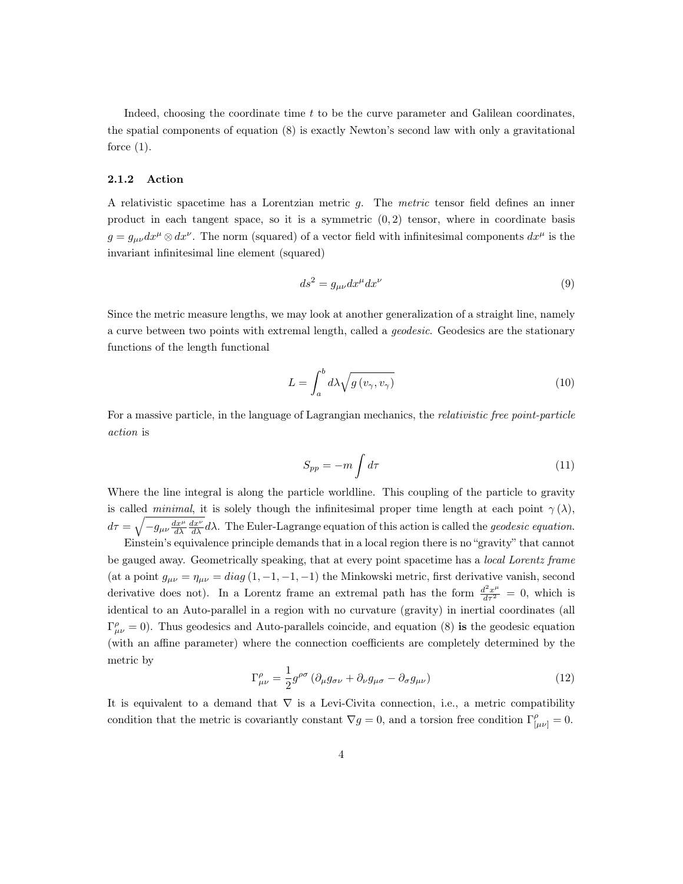Indeed, choosing the coordinate time  $t$  to be the curve parameter and Galilean coordinates, the spatial components of equation (8) is exactly Newton's second law with only a gravitational force  $(1)$ .

### 2.1.2 Action

A relativistic spacetime has a Lorentzian metric g. The metric tensor field defines an inner product in each tangent space, so it is a symmetric  $(0, 2)$  tensor, where in coordinate basis  $g = g_{\mu\nu} dx^{\mu} \otimes dx^{\nu}$ . The norm (squared) of a vector field with infinitesimal components  $dx^{\mu}$  is the invariant infinitesimal line element (squared)

$$
ds^2 = g_{\mu\nu} dx^{\mu} dx^{\nu} \tag{9}
$$

Since the metric measure lengths, we may look at another generalization of a straight line, namely a curve between two points with extremal length, called a geodesic. Geodesics are the stationary functions of the length functional

$$
L = \int_{a}^{b} d\lambda \sqrt{g(v_{\gamma}, v_{\gamma})}
$$
\n(10)

For a massive particle, in the language of Lagrangian mechanics, the *relativistic free point-particle* action is

$$
S_{pp} = -m \int d\tau \tag{11}
$$

Where the line integral is along the particle worldline. This coupling of the particle to gravity is called *minimal*, it is solely though the infinitesimal proper time length at each point  $\gamma(\lambda)$ ,  $d\tau = \sqrt{-g_{\mu\nu}\frac{dx^{\mu}}{d\lambda}\frac{dx^{\nu}}{d\lambda}}d\lambda$ . The Euler-Lagrange equation of this action is called the *geodesic equation*.

Einstein's equivalence principle demands that in a local region there is no "gravity" that cannot be gauged away. Geometrically speaking, that at every point spacetime has a *local Lorentz frame* (at a point  $g_{\mu\nu} = \eta_{\mu\nu} = diag(1, -1, -1, -1)$  the Minkowski metric, first derivative vanish, second derivative does not). In a Lorentz frame an extremal path has the form  $\frac{d^2 x^{\mu}}{d\tau^2} = 0$ , which is identical to an Auto-parallel in a region with no curvature (gravity) in inertial coordinates (all  $\Gamma_{\mu\nu}^{\rho} = 0$ . Thus geodesics and Auto-parallels coincide, and equation (8) is the geodesic equation (with an affine parameter) where the connection coefficients are completely determined by the metric by

$$
\Gamma^{\rho}_{\mu\nu} = \frac{1}{2} g^{\rho\sigma} \left( \partial_{\mu} g_{\sigma\nu} + \partial_{\nu} g_{\mu\sigma} - \partial_{\sigma} g_{\mu\nu} \right)
$$
(12)

It is equivalent to a demand that  $\nabla$  is a Levi-Civita connection, i.e., a metric compatibility condition that the metric is covariantly constant  $\nabla g = 0$ , and a torsion free condition  $\Gamma_{\mu\nu}^{\rho} = 0$ .